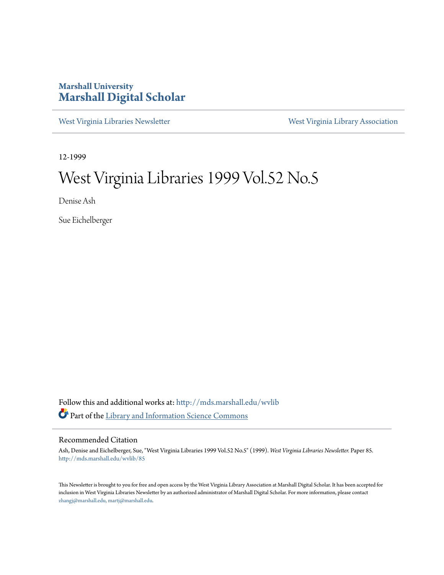### **Marshall University [Marshall Digital Scholar](http://mds.marshall.edu?utm_source=mds.marshall.edu%2Fwvlib%2F85&utm_medium=PDF&utm_campaign=PDFCoverPages)**

[West Virginia Libraries Newsletter](http://mds.marshall.edu/wvlib?utm_source=mds.marshall.edu%2Fwvlib%2F85&utm_medium=PDF&utm_campaign=PDFCoverPages) [West Virginia Library Association](http://mds.marshall.edu/wvla?utm_source=mds.marshall.edu%2Fwvlib%2F85&utm_medium=PDF&utm_campaign=PDFCoverPages)

12-1999

## West Virginia Libraries 1999 Vol.52 No.5

Denise Ash

Sue Eichelberger

Follow this and additional works at: [http://mds.marshall.edu/wvlib](http://mds.marshall.edu/wvlib?utm_source=mds.marshall.edu%2Fwvlib%2F85&utm_medium=PDF&utm_campaign=PDFCoverPages) Part of the [Library and Information Science Commons](http://network.bepress.com/hgg/discipline/1018?utm_source=mds.marshall.edu%2Fwvlib%2F85&utm_medium=PDF&utm_campaign=PDFCoverPages)

#### Recommended Citation

Ash, Denise and Eichelberger, Sue, "West Virginia Libraries 1999 Vol.52 No.5" (1999). *West Virginia Libraries Newsletter.* Paper 85. [http://mds.marshall.edu/wvlib/85](http://mds.marshall.edu/wvlib/85?utm_source=mds.marshall.edu%2Fwvlib%2F85&utm_medium=PDF&utm_campaign=PDFCoverPages)

This Newsletter is brought to you for free and open access by the West Virginia Library Association at Marshall Digital Scholar. It has been accepted for inclusion in West Virginia Libraries Newsletter by an authorized administrator of Marshall Digital Scholar. For more information, please contact [zhangj@marshall.edu, martj@marshall.edu](mailto:zhangj@marshall.edu,%20martj@marshall.edu).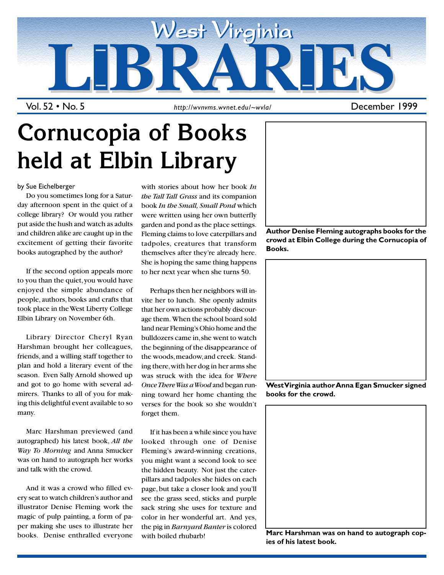

Vol. 52 • No. 5

*http://wvnvms.wvnet.edu/~wvla/* December 1999

# **Cornucopia of Books held at Elbin Library**

by Sue Eichelberger

Do you sometimes long for a Saturday afternoon spent in the quiet of a college library? Or would you rather put aside the hush and watch as adults and children alike are caught up in the excitement of getting their favorite books autographed by the author?

If the second option appeals more to you than the quiet, you would have enjoyed the simple abundance of people, authors, books and crafts that took place in the West Liberty College Elbin Library on November 6th.

Library Director Cheryl Ryan Harshman brought her colleagues, friends, and a willing staff together to plan and hold a literary event of the season. Even Sally Arnold showed up and got to go home with several admirers. Thanks to all of you for making this delightful event available to so many.

Marc Harshman previewed (and autographed) his latest book, *All the Way To Morning* and Anna Smucker was on hand to autograph her works and talk with the crowd.

And it was a crowd who filled every seat to watch children's author and illustrator Denise Fleming work the magic of pulp painting, a form of paper making she uses to illustrate her books. Denise enthralled everyone

with stories about how her book *In the Tall Tall Grass* and its companion book *In the Small, Small Pond* which were written using her own butterfly garden and pond as the place settings. Fleming claims to love caterpillars and tadpoles, creatures that transform themselves after they're already here. She is hoping the same thing happens to her next year when she turns 50.

Perhaps then her neighbors will invite her to lunch. She openly admits that her own actions probably discourage them. When the school board sold land near Fleming's Ohio home and the bulldozers came in, she went to watch the beginning of the disappearance of the woods, meadow, and creek. Standing there, with her dog in her arms she was struck with the idea for *Where Once There Was a Wood* and began running toward her home chanting the verses for the book so she wouldn't forget them.

If it has been a while since you have looked through one of Denise Fleming's award-winning creations, you might want a second look to see the hidden beauty. Not just the caterpillars and tadpoles she hides on each page, but take a closer look and you'll see the grass seed, sticks and purple sack string she uses for texture and color in her wonderful art. And yes, the pig in *Barnyard Banter* is colored with boiled rhubarb!



**crowd at Elbin College during the Cornucopia of Books.**



**West Virginia author Anna Egan Smucker signed books for the crowd.**



**Marc Harshman was on hand to autograph copies of his latest book.**

1 December 1999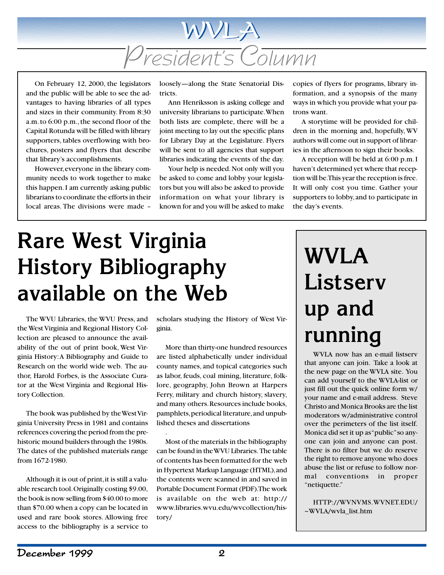

On February 12, 2000, the legislators and the public will be able to see the advantages to having libraries of all types and sizes in their community. From 8:30 a.m. to 6:00 p.m., the second floor of the Capital Rotunda will be filled with library supporters, tables overflowing with brochures, posters and flyers that describe that library's accomplishments.

However, everyone in the library community needs to work together to make this happen. I am currently asking public librarians to coordinate the efforts in their local areas. The divisions were made –

loosely—along the State Senatorial Districts.

Ann Henriksson is asking college and university librarians to participate. When both lists are complete, there will be a joint meeting to lay out the specific plans for Library Day at the Legislature. Flyers will be sent to all agencies that support libraries indicating the events of the day.

Your help is needed. Not only will you be asked to come and lobby your legislators but you will also be asked to provide information on what your library is known for and you will be asked to make copies of flyers for programs, library information, and a synopsis of the many ways in which you provide what your patrons want.

A storytime will be provided for children in the morning and, hopefully, WV authors will come out in support of libraries in the afternoon to sign their books.

A reception will be held at 6:00 p.m. I haven't determined yet where that reception will be. This year the reception is free. It will only cost you time. Gather your supporters to lobby, and to participate in the day's events.

# **Rare West Virginia History Bibliography available on the Web**

The WVU Libraries, the WVU Press, and the West Virginia and Regional History Collection are pleased to announce the availability of the out of print book, West Virginia History: A Bibliography and Guide to Research on the world wide web. The author, Harold Forbes, is the Associate Curator at the West Virginia and Regional History Collection.

The book was published by the West Virginia University Press in 1981 and contains references covering the period from the prehistoric mound builders through the 1980s. The dates of the published materials range from 1672-1980.

Although it is out of print, it is still a valuable research tool. Originally costing \$9.00, the book is now selling from \$40.00 to more than \$70.00 when a copy can be located in used and rare book stores. Allowing free access to the bibliography is a service to

scholars studying the History of West Virginia.

More than thirty-one hundred resources are listed alphabetically under individual county names, and topical categories such as labor, feuds, coal mining, literature, folklore, geography, John Brown at Harpers Ferry, military and church history, slavery, and many others. Resources include books, pamphlets, periodical literature, and unpublished theses and dissertations

.

Most of the materials in the bibliography can be found in the WVU Libraries. The table of contents has been formatted for the web in Hypertext Markup Language (HTML), and the contents were scanned in and saved in Portable Document Format (PDF). The work is available on the web at: http:// www.libraries.wvu.edu/wvcollection/history/

# **WVLA Listserv up and running**

WVLA now has an e-mail listserv that anyone can join. Take a look at the new page on the WVLA site. You can add yourself to the WVLA-list or just fill out the quick online form w/ your name and e-mail address. Steve Christo and Monica Brooks are the list moderators w/administrative control over the perimeters of the list itself. Monica did set it up as "public" so anyone can join and anyone can post. There is no filter but we do reserve the right to remove anyone who does abuse the list or refuse to follow normal conventions in proper "netiquette."

HTTP://WVNVMS.WVNET.EDU/ ~WVLA/wvla\_list.htm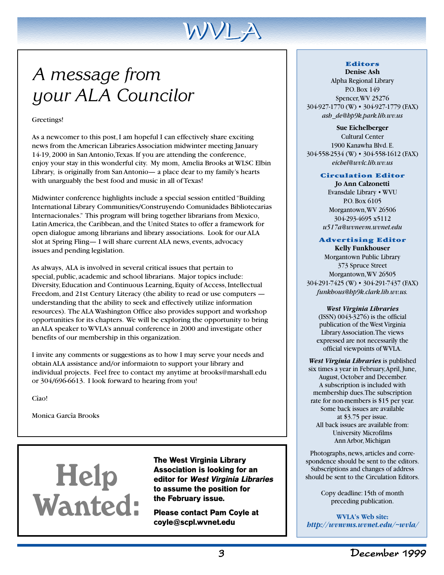

## *A message from your ALA Councilor*

Greetings!

As a newcomer to this post, I am hopeful I can effectively share exciting news from the American Libraries Association midwinter meeting January 14-19, 2000 in San Antonio, Texas. If you are attending the conference, enjoy your stay in this wonderful city. My mom, Amelia Brooks at WLSC Elbin Library, is originally from San Antonio— a place dear to my family's hearts with unarguably the best food and music in all of Texas!

Midwinter conference highlights include a special session entitled "Building International Library Communities/Construyendo Comunidades Bibliotecarias Internacionales." This program will bring together librarians from Mexico, Latin America, the Caribbean, and the United States to offer a framework for open dialogue among librarians and library associations. Look for our ALA slot at Spring Fling— I will share current ALA news, events, advocacy issues and pending legislation.

As always, ALA is involved in several critical issues that pertain to special, public, academic and school librarians. Major topics include: Diversity, Education and Continuous Learning, Equity of Access, Intellectual Freedom, and 21st Century Literacy (the ability to read or use computers understanding that the ability to seek and effectively utilize information resources). The ALA Washington Office also provides support and workshop opportunities for its chapters. We will be exploring the opportunity to bring an ALA speaker to WVLA's annual conference in 2000 and investigate other benefits of our membership in this organization.

I invite any comments or suggestions as to how I may serve your needs and obtain ALA assistance and/or informaiotn to support your library and individual projects. Feel free to contact my anytime at brooks@marshall.edu or 304/696-6613. I look forward to hearing from you!

Cîao!

Monica Garcîa Brooks

# Help Wanted:

**The West Virginia Library Association is looking for an editor for West Virginia Libraries to assume the position for the February issue.**

**Please contact Pam Coyle at coyle@scpl.wvnet.edu**

#### **Editors Denise Ash**

Alpha Regional Library P.O. Box 149 Spencer, WV 25276 304-927-1770 (W) • 304-927-1779 (FAX) *ash de@hp9k.park.lib.wv.us*

**Sue Eichelberger** Cultural Center 1900 Kanawha Blvd. E. 304-558-2534 (W) • 304-558-1612 (FAX) *eichel@wvlc.lib.wv.us*

#### **Circulation Editor**

**Jo Ann Calzonetti** Evansdale Library • WVU P.O. Box 6105 Morgantown, WV 26506 304-293-4695 x5112 *u517a@wvnevm.wvnet.edu*

#### **Advertising Editor**

**Kelly Funkhouser** Morgantown Public Library 373 Spruce Street Morgantown, WV 26505 304-291-7425 (W) • 304-291-7437 (FAX) *funkhous@hp9k.clark.lib.wv.us.*

#### *West Virginia Libraries*

(ISSN) 0043-3276) is the official publication of the West Virginia Library Association. The views expressed are not necessarily the official viewpoints of WVLA.

*West Virginia Libraries* is published six times a year in February, April, June, August, October and December. A subscription is included with membership dues. The subscription rate for non-members is \$15 per year. Some back issues are available at \$3.75 per issue. All back issues are available from: University Microfilms Ann Arbor, Michigan

Photographs, news, articles and correspondence should be sent to the editors. Subscriptions and changes of address should be sent to the Circulation Editors.

> Copy deadline: 15th of month preceding publication.

**WVLA's Web site:** *http://wvnvms.wvnet.edu/~wvla/*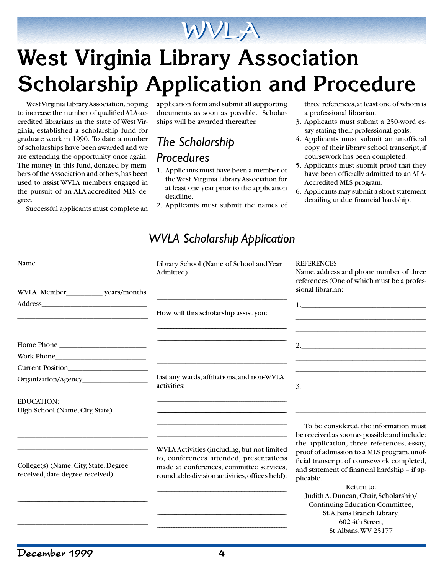## WVLA

# **West Virginia Library Association Scholarship Application and Procedure**

West Virginia Library Association, hoping to increase the number of qualified ALA-accredited librarians in the state of West Virginia, established a scholarship fund for graduate work in 1990. To date, a number of scholarships have been awarded and we are extending the opportunity once again. The money in this fund, donated by members of the Association and others, has been used to assist WVLA members engaged in the pursuit of an ALA-accredited MLS degree.

Successful applicants must complete an

application form and submit all supporting documents as soon as possible. Scholarships will be awarded thereafter.

## *The Scholarship Procedures*

- 1. Applicants must have been a member of the West Virginia Library Association for at least one year prior to the application deadline.
- 2. Applicants must submit the names of

*WVLA Scholarship Application*

three references, at least one of whom is a professional librarian.

- 3. Applicants must submit a 250-word essay stating their professional goals.
- 4. Applicants must submit an unofficial copy of their library school transcript, if coursework has been completed.
- 5. Applicants must submit proof that they have been officially admitted to an ALA-Accredited MLS program.
- 6. Applicants may submit a short statement detailing undue financial hardship.

| Name                                                                     | <b>YV YLA SCHURTSHIP APPIICUUDH</b><br>Library School (Name of School and Year<br>Admitted)                                                                                          | <b>REFERENCES</b><br>Name, address and phone number of three<br>references (One of which must be a profes-                                                                                                                                                                                   |  |
|--------------------------------------------------------------------------|--------------------------------------------------------------------------------------------------------------------------------------------------------------------------------------|----------------------------------------------------------------------------------------------------------------------------------------------------------------------------------------------------------------------------------------------------------------------------------------------|--|
| Address_                                                                 | How will this scholarship assist you:                                                                                                                                                | sional librarian:<br>1. <u>_______________________________</u>                                                                                                                                                                                                                               |  |
|                                                                          |                                                                                                                                                                                      |                                                                                                                                                                                                                                                                                              |  |
| Current Position                                                         | List any wards, affiliations, and non-WVLA<br>activities:                                                                                                                            |                                                                                                                                                                                                                                                                                              |  |
| <b>EDUCATION:</b><br>High School (Name, City, State)                     |                                                                                                                                                                                      |                                                                                                                                                                                                                                                                                              |  |
| College(s) (Name, City, State, Degree<br>received, date degree received) | WVLA Activities (including, but not limited<br>to, conferences attended, presentations<br>made at conferences, committee services,<br>roundtable-division activities, offices held): | To be considered, the information must<br>be received as soon as possible and include:<br>the application, three references, essay,<br>proof of admission to a MLS program, unof-<br>ficial transcript of coursework completed,<br>and statement of financial hardship - if ap-<br>plicable. |  |
|                                                                          |                                                                                                                                                                                      | Return to:<br>Judith A. Duncan, Chair, Scholarship/<br>Continuing Education Committee,<br>St. Albans Branch Library,<br>602 4th Street.<br>St. Albans, WV 25177                                                                                                                              |  |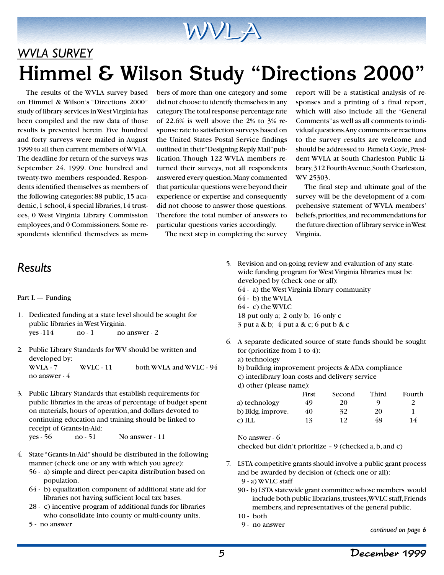# WVLA

## *WVLA SURVEY* **Himmel & Wilson Study "Directions 2000"**

The results of the WVLA survey based on Himmel & Wilson's "Directions 2000" study of library services in West Virginia has been compiled and the raw data of those results is presented herein. Five hundred and forty surveys were mailed in August 1999 to all then current members of WVLA. The deadline for return of the surveys was September 24, 1999. One hundred and twenty-two members responded. Respondents identified themselves as members of the following categories: 88 public, 15 academic, 1 school, 4 special libraries, 14 trustees, 0 West Virginia Library Commission employees, and 0 Commissioners. Some respondents identified themselves as members of more than one category and some did not choose to identify themselves in any category. The total response percentage rate of 22.6% is well above the 2% to 3% response rate to satisfaction surveys based on the United States Postal Service findings outlined in their "Designing Reply Mail" publication. Though 122 WVLA members returned their surveys, not all respondents answered every question. Many commented that particular questions were beyond their experience or expertise and consequently did not choose to answer those questions. Therefore the total number of answers to particular questions varies accordingly.

The next step in completing the survey

report will be a statistical analysis of responses and a printing of a final report, which will also include all the "General Comments" as well as all comments to individual questions. Any comments or reactions to the survey results are welcome and should be addressed to Pamela Coyle, President WVLA at South Charleston Public Library, 312 Fourth Avenue, South Charleston, WV 25303.

The final step and ultimate goal of the survey will be the development of a comprehensive statement of WVLA members' beliefs, priorities, and recommendations for the future direction of library service in West Virginia.

### *Results*

#### Part I. — Funding

- 1. Dedicated funding at a state level should be sought for public libraries in West Virginia.  $yes -114$  no  $-1$  no answer  $-2$
- 2. Public Library Standards for WV should be written and developed by: WVLA - 7 WVLC - 11 both WVLA and WVLC - 94 no answer - 4
- 3. Public Library Standards that establish requirements for public libraries in the areas of percentage of budget spent on materials, hours of operation, and dollars devoted to continuing education and training should be linked to receipt of Grants-In-Aid: yes - 56 no - 51 No answer - 11
- 4. State "Grants-In-Aid" should be distributed in the following manner (check one or any with which you agree):
	- 56 a) simple and direct per-capita distribution based on population.
	- 64 b) equalization component of additional state aid for libraries not having sufficient local tax bases.
	- 28 c) incentive program of additional funds for libraries who consolidate into county or multi-county units.
	- 5 no answer
- 5. Revision and on-going review and evaluation of any statewide funding program for West Virginia libraries must be developed by (check one or all): 64 - a) the West Virginia library community 64 - b) the WVLA 64 - c) the WVLC 18 put only a; 2 only b; 16 only c 3 put a & b; 4 put a & c; 6 put b & c
- 6. A separate dedicated source of state funds should be sought for (prioritize from 1 to 4):
	- a) technology
	- b) building improvement projects & ADA compliance
	- c) interlibrary loan costs and delivery service
	- d) other (please name):

|                      | First | Second | Third | Fourth |
|----------------------|-------|--------|-------|--------|
| a) technology        | 49    | 20     | O)    |        |
| b) Bldg. improve.    | 40    | 32     | 20    |        |
| $\overline{c}$ ) ILL | 13    | 12     | 48    | 14     |

No answer - 6

checked but didn't prioritize – 9 (checked a, b, and c)

- 7. LSTA competitive grants should involve a public grant process and be awarded by decision of (check one or all):
	- 9 a) WVLC staff
	- 90 b) LSTA statewide grant committee whose members would include both public librarians, trustees, WVLC staff, Friends members, and representatives of the general public.
	- 10 both
	- 9 no answer

*continued on page 6*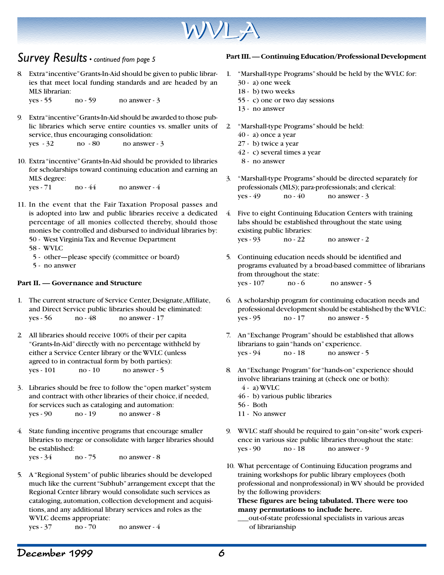

### *Survey Results • continued from page 5*

8. Extra "incentive" Grants-In-Aid should be given to public libraries that meet local funding standards and are headed by an MLS librarian:

yes - 55 no - 59 no answer - 3

9. Extra "incentive" Grants-In-Aid should be awarded to those public libraries which serve entire counties vs. smaller units of service, thus encouraging consolidation:

 $yes - 32$  no  $-80$  no answer  $-3$ 

10. Extra "incentive" Grants-In-Aid should be provided to libraries for scholarships toward continuing education and earning an MLS degree:

 $yes - 71$  no  $-44$  no answer  $-4$ 

11. In the event that the Fair Taxation Proposal passes and is adopted into law and public libraries receive a dedicated percentage of all monies collected thereby, should those monies be controlled and disbursed to individual libraries by: 50 - West Virginia Tax and Revenue Department

58 - WVLC

- 5 other—please specify (committee or board)
- 5 no answer

#### **Part II. — Governance and Structure**

- 1. The current structure of Service Center, Designate, Affiliate, and Direct Service public libraries should be eliminated: yes - 56 no - 48 no answer - 17
- 2. All libraries should receive 100% of their per capita "Grants-In-Aid" directly with no percentage withheld by either a Service Center library or the WVLC (unless agreed to in contractual form by both parties): yes - 101 no - 10 no answer - 5
- 3. Libraries should be free to follow the "open market" system and contract with other libraries of their choice, if needed, for services such as cataloging and automation:  $yes - 90$  no  $-19$  no answer  $-8$
- 4. State funding incentive programs that encourage smaller libraries to merge or consolidate with larger libraries should be established:

yes - 34 no - 75 no answer - 8

5. A "Regional System" of public libraries should be developed much like the current "Subhub" arrangement except that the Regional Center library would consolidate such services as cataloging, automation, collection development and acquisitions, and any additional library services and roles as the WVLC deems appropriate:

 $yes - 37$  no  $- 70$  no answer  $- 4$ 

#### **Part III. — Continuing Education/Professional Development**

- 1. "Marshall-type Programs" should be held by the WVLC for:
	- 30 a) one week
	- 18 b) two weeks
	- 55 c) one or two day sessions
	- 13 no answer
- 2. "Marshall-type Programs" should be held:
	- 40 a) once a year
	- 27 b) twice a year
	- 42 c) several times a year
	- 8 no answer
- 3. "Marshall-type Programs" should be directed separately for professionals (MLS); para-professionals; and clerical:  $yes - 49$  no  $-40$  no answer  $-3$
- 4. Five to eight Continuing Education Centers with training labs should be established throughout the state using existing public libraries: yes - 93 no - 22 no answer - 2
- 5. Continuing education needs should be identified and programs evaluated by a broad-based committee of librarians from throughout the state:  $yes - 107$  no  $-6$  no answer  $-5$
- 6. A scholarship program for continuing education needs and professional development should be established by the WVLC: yes - 95 no - 17 no answer - 5
- 7. An "Exchange Program" should be established that allows librarians to gain "hands on" experience.  $yes - 94$  no  $-18$  no answer  $-5$
- 8. An "Exchange Program" for "hands-on" experience should involve librarians training at (check one or both):
	- $(4 a)$  WVLC
	- 46 b) various public libraries
	- 56 Both
	- 11 No answer
- 9. WVLC staff should be required to gain "on-site" work experience in various size public libraries throughout the state: yes - 90 no - 18 no answer - 9
- 10. What percentage of Continuing Education programs and training workshops for public library employees (both professional and nonprofessional) in WV should be provided by the following providers:

**These figures are being tabulated. There were too many permutations to include here.**

\_\_\_out-of-state professional specialists in various areas of librarianship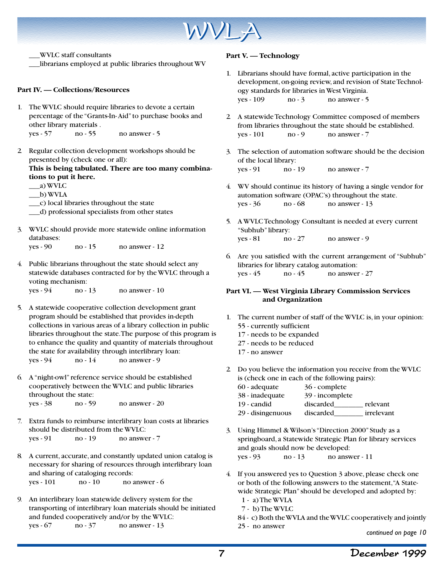

\_\_\_WVLC staff consultants

\_\_\_librarians employed at public libraries throughout WV

#### **Part IV. — Collections/Resources**

- 1. The WVLC should require libraries to devote a certain percentage of the "Grants-In- Aid" to purchase books and other library materials . yes - 57 no - 55 no answer - 5
- 2. Regular collection development workshops should be presented by (check one or all): **This is being tabulated. There are too many combinations to put it here.**
	- \_\_\_a) WVLC
	- \_\_\_b) WVLA
	- \_\_\_c) local libraries throughout the state
	- \_\_\_d) professional specialists from other states
- 3. WVLC should provide more statewide online information databases: yes - 90 no - 15 no answer - 12

| 4. Public librarians throughout the state should select any |
|-------------------------------------------------------------|
|                                                             |

statewide databases contracted for by the WVLC through a voting mechanism:

yes - 94 no - 13 no answer - 10

- 5. A statewide cooperative collection development grant program should be established that provides in-depth collections in various areas of a library collection in public libraries throughout the state. The purpose of this program is to enhance the quality and quantity of materials throughout the state for availability through interlibrary loan: yes - 94 no - 14 no answer - 9
- 6. A "night-owl" reference service should be established cooperatively between the WVLC and public libraries throughout the state: yes - 38 no - 59 no answer - 20
- 7. Extra funds to reimburse interlibrary loan costs at libraries should be distributed from the WVLC: yes - 91 no - 19 no answer - 7
- 8. A current, accurate, and constantly updated union catalog is necessary for sharing of resources through interlibrary loan and sharing of cataloging records: yes - 101 no - 10 no answer - 6

9. An interlibrary loan statewide delivery system for the transporting of interlibrary loan materials should be initiated and funded cooperatively and/or by the WVLC: yes - 67 no - 37 no answer - 13

#### **Part V. — Technology**

- 1. Librarians should have formal, active participation in the development, on-going review, and revision of State Technology standards for libraries in West Virginia.  $yes - 109$  no  $-3$  no answer  $-5$
- 2. A statewide Technology Committee composed of members from libraries throughout the state should be established.  $yes - 101$  no  $-9$  no answer  $-7$
- 3. The selection of automation software should be the decision of the local library: yes - 91 no - 19 no answer - 7
- 4. WV should continue its history of having a single vendor for automation software (OPAC's) throughout the state. yes - 36 no - 68 no answer - 13
- 5. A WVLC Technology Consultant is needed at every current "Subhub" library: yes - 81 no - 27 no answer - 9
- 6. Are you satisfied with the current arrangement of "Subhub" libraries for library catalog automation: yes - 45 no - 45 no answer - 27

#### **Part VI. — West Virginia Library Commission Services and Organization**

- 1. The current number of staff of the WVLC is, in your opinion: 55 - currently sufficient
	- 17 needs to be expanded
	- 27 needs to be reduced
	- 17 no answer
- 2. Do you believe the information you receive from the WVLC is (check one in each of the following pairs):
	- 60 adequate 36 complete
	- 38 inadequate 39 incomplete
	- 19 candid discarded\_\_\_\_\_\_\_\_ relevant
	- 29 disingenuous discarded\_\_\_\_\_\_\_\_ irrelevant
- 3. Using Himmel & Wilson's "Direction 2000" Study as a springboard, a Statewide Strategic Plan for library services and goals should now be developed: yes - 93 no - 13 no answer - 11
- 4. If you answered yes to Question 3 above, please check one or both of the following answers to the statement, "A Statewide Strategic Plan" should be developed and adopted by: 1 - a) The WVLA
	- 7 b) The WVLC
	- 84 c) Both the WVLA and the WVLC cooperatively and jointly

*continued on page 10*

<sup>25 -</sup> no answer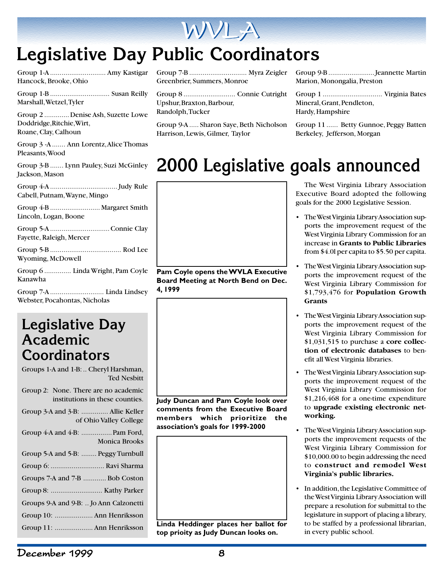

## **Legislative Day Public Coordinators**

Group 1-A ............................. Amy Kastigar Hancock, Brooke, Ohio

Group 1-B ............................... Susan Reilly Marshall, Wetzel, Tyler

Group 2 .............Denise Ash, Suzette Lowe Doddridge,Ritchie, Wirt, Roane, Clay, Calhoun

Group 3 -A ....... Ann Lorentz, Alice Thomas Pleasants,Wood

Group 3-B ....... Lynn Pauley, Suzi McGinley Jackson, Mason

Group 4-A ................................... Judy Rule Cabell, Putnam, Wayne, Mingo

Group 4-B .......................... Margaret Smith Lincoln, Logan, Boone

Group 5-A ...............................Connie Clay Fayette, Raleigh, Mercer

Group 5-B ..................................... Rod Lee Wyoming, McDowell

Group 6 .............. Linda Wright, Pam Coyle Kanawha

Group 7-A ............................ Linda Lindsey Webster, Pocahontas, Nicholas

## **Legislative Day Academic Coordinators**

Groups 1-A and 1-B: .. Cheryl Harshman, Ted Nesbitt Group 2: None. There are no academic institutions in these counties. Group 3-A and 3-B: .............. Allie Keller of Ohio Valley College

| <b>Monica Brooks</b>                   |
|----------------------------------------|
|                                        |
| Group 5-A and 5-B:  Peggy Turnbull     |
| Group 6:  Ravi Sharma                  |
| Groups 7-A and 7-B  Bob Coston         |
|                                        |
| Groups 9-A and 9-B:  Jo Ann Calzonetti |
|                                        |

Group 11: .................... Ann Henriksson

Group 7-B .............................. Myra Zeigler Greenbrier, Summers, Monroe

Group 8 ........................... Connie Cutright Upshur, Braxton, Barbour, Randolph, Tucker

Group 9-A..... Sharon Saye, Beth Nicholson Harrison, Lewis, Gilmer, Taylor

Group 9-B ........................Jeannette Martin Marion, Monongalia, Preston

Group 1 ............................... Virginia Bates Mineral, Grant, Pendleton, Hardy, Hampshire

Group 11 ...... Betty Gunnoe, Peggy Batten Berkeley, Jefferson, Morgan

## **2000 Legislative goals announced**



**Pam Coyle opens the WVLA Executive Board Meeting at North Bend on Dec. 4, 1999**



**Linda Heddinger places her ballot for top prioity as Judy Duncan looks on.**

The West Virginia Library Association Executive Board adopted the following goals for the 2000 Legislative Session.

- The West Virginia Library Association supports the improvement request of the West Virginia Library Commission for an increase in **Grants to Public Libraries** from \$4.0l per capita to \$5.50 per capita.
- The West Virginia Library Association supports the improvement request of the West Virginia Library Commission for \$1,793,476 for **Population Growth Grants**
- The West Virginia Library Association supports the improvement request of the West Virginia Library Commission for \$1,031,515 to purchase a **core collection of electronic databases** to benefit all West Virginia libraries.
- The West Virginia Library Association supports the improvement request of the West Virginia Library Commission for \$1,216,468 for a one-time expenditure to **upgrade existing electronic networking.**
- The West Virginia Library Association supports the improvement requests of the West Virginia Library Commission for \$10,000.00 to begin addressing the need to **construct and remodel West Virginia's public libraries.**
- In addition, the Legislative Committee of the West Virginia Library Association will prepare a resolution for submittal to the legislature in support of placing a library, to be staffed by a professional librarian, in every public school.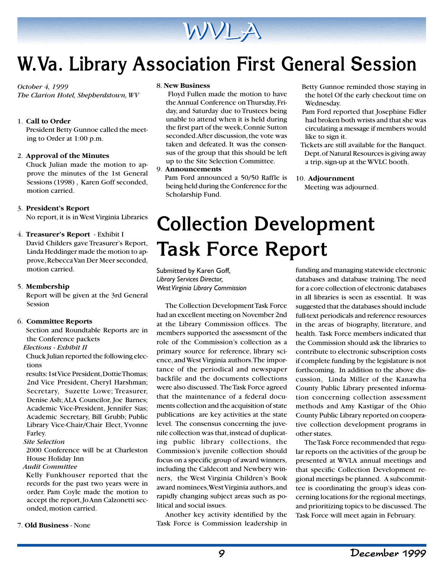

## **W.Va. Library Association First General Session**

#### *October 4, 1999*

*The Clarion Hotel, Shepherdstown, WV*

#### 1. **Call to Order**

President Betty Gunnoe called the meeting to Order at 1:00 p.m.

#### 2. **Approval of the Minutes**

Chuck Julian made the motion to approve the minutes of the 1st General Sessions (1998) , Karen Goff seconded, motion carried.

#### 3. **President's Report**

No report, it is in West Virginia Libraries

#### 4. **Treasurer's Report** - Exhibit I

David Childers gave Treasurer's Report, Linda Heddinger made the motion to approve, Rebecca Van Der Meer seconded, motion carried.

#### 5. **Membership**

Report will be given at the 3rd General Session

#### 6. **Committee Reports**

Section and Roundtable Reports are in the Conference packets

#### *Elections - Exhibit II*

Chuck Julian reported the following elections

results: 1st Vice President, Dottie Thomas; 2nd Vice President, Cheryl Harshman; Secretary, Suzette Lowe; Treasurer, Denise Ash; ALA Councilor, Joe Barnes; Academic Vice-President, Jennifer Sias; Academic Secretary, Bill Grubb; Public Library Vice-Chair/Chair Elect, Yvonne Farley.

 *Site Selection*

2000 Conference will be at Charleston House Holiday Inn

 *Audit Committee*

Kelly Funkhouser reported that the records for the past two years were in order. Pam Coyle made the motion to accept the report, Jo Ann Calzonetti seconded, motion carried.

#### 7. **Old Business** - None

#### 8. **New Business**

 Floyd Fullen made the motion to have the Annual Conference on Thursday, Friday, and Saturday due to Trustees being unable to attend when it is held during the first part of the week, Connie Sutton seconded. After discussion, the vote was taken and defeated. It was the consensus of the group that this should be left up to the Site Selection Committee.

9. **Announcements**

 Pam Ford announced a 50/50 Raffle is being held during the Conference for the Scholarship Fund.

- Betty Gunnoe reminded those staying in the hotel Of the early checkout time on Wednesday.
- Pam Ford reported that Josephine Fidler had broken both wrists and that she was circulating a message if members would like to sign it.
- Tickets are still available for the Banquet. Dept. of Natural Resources is giving away a trip, sign-up at the WVLC booth.

#### 10. **Adjournment**

Meeting was adjourned.

## **Collection Development Task Force Report**

Submitted by Karen Goff, *Library Services Director, West Virginia Library Commission*

The Collection Development Task Force had an excellent meeting on November 2nd at the Library Commission offices. The members supported the assessment of the role of the Commission's collection as a primary source for reference, library science, and West Virginia authors. The importance of the periodical and newspaper backfile and the documents collections were also discussed. The Task Force agreed that the maintenance of a federal documents collection and the acquisition of state publications are key activities at the state level. The consensus concerning the juvenile collection was that, instead of duplicating public library collections, the Commission's juvenile collection should focus on a specific group of award winners, including the Caldecott and Newbery winners, the West Virginia Children's Book award nominees, West Virginia authors, and rapidly changing subject areas such as political and social issues.

Another key activity identified by the Task Force is Commission leadership in

funding and managing statewide electronic databases and database training. The need for a core collection of electronic databases in all libraries is seen as essential. It was suggested that the databases should include full-text periodicals and reference resources in the areas of biography, literature, and health. Task Force members indicated that the Commission should ask the libraries to contribute to electronic subscription costs if complete funding by the legislature is not forthcoming. In addition to the above discussion, Linda Miller of the Kanawha County Public Library presented information concerning collection assessment methods and Amy Kastigar of the Ohio County Public Library reported on cooperative collection development programs in other states.

The Task Force recommended that regular reports on the activities of the group be presented at WVLA annual meetings and that specific Collection Development regional meetings be planned. A subcommittee is coordinating the group's ideas concerning locations for the regional meetings, and prioritizing topics to be discussed. The Task Force will meet again in February.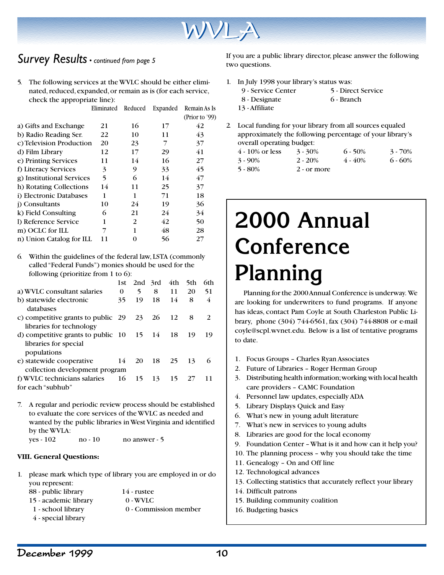

### *Survey Results • continued from page 5*

5. The following services at the WVLC should be either eliminated, reduced, expanded, or remain as is (for each service, check the appropriate line):

|                           | Eliminated | Reduced | Expanded | Remain As Is<br>(Prior to '99) |
|---------------------------|------------|---------|----------|--------------------------------|
| a) Gifts and Exchange     | 21         | 16      | 17       | 42                             |
| b) Radio Reading Ser.     | 22         | 10      | 11       | 43                             |
| c) Television Production  | 20         | 23      | 7        | 37                             |
| d) Film Library           | 12         | 17      | 29       | 41                             |
| e) Printing Services      | 11         | 14      | 16       | 27                             |
| f) Literacy Services      | 3          | 9       | 33       | 45                             |
| g) Institutional Services | 5          | 6       | 14       | 47                             |
| h) Rotating Collections   | 14         | 11      | 25       | 37                             |
| i) Electronic Databases   | 1          | 1       | 71       | 18                             |
| i) Consultants            | 10         | 24      | 19       | 36                             |
| k) Field Consulting       | 6          | 21      | 24       | 34                             |
| 1) Reference Service      | 1          | 2       | 42       | 50                             |
| m) OCLC for ILL           |            | 1       | 48       | 28                             |
| n) Union Catalog for ILL  | 11         | 0       | 56       | 27                             |

6. Within the guidelines of the federal law, LSTA (commonly called "Federal Funds") monies should be used for the following (prioritize from 1 to 6):

|                                                                                                | 1st. |    | $2nd$ 3rd | 4th | 5th | 6th |
|------------------------------------------------------------------------------------------------|------|----|-----------|-----|-----|-----|
|                                                                                                |      |    |           |     |     |     |
| a) WVLC consultant salaries                                                                    | 0    | 5  | 8         | 11  | 20  | 51  |
| b) statewide electronic<br>databases                                                           | 35   | 19 | 18        | 14  | 8   | 4   |
| c) competitive grants to public 29<br>libraries for technology                                 |      | 23 | 26        | 12  | 8   | 2   |
| d) competitive grants to public $10 \quad 15 \quad 14$<br>libraries for special<br>populations |      |    |           | 18  | 19  | 19  |
| e) statewide cooperative<br>collection development program                                     | 14   | 20 | 18        | 25  | 13  | 6   |
| f) WVLC technicians salaries<br>for each "subhub"                                              | 16   | 15 | 13        | 15  | 27  |     |

7. A regular and periodic review process should be established to evaluate the core services of the WVLC as needed and wanted by the public libraries in West Virginia and identified by the WVLA: yes - 102 no - 10 no answer - 5

#### **VIII. General Questions:**

1. please mark which type of library you are employed in or do you represent:

| 88 - public library   | $14$ - rustee         |
|-----------------------|-----------------------|
| 15 - academic library | $0 - W V LC$          |
| 1 - school library    | 0 - Commission member |
| 4 - special library   |                       |

If you are a public library director, please answer the following two questions.

1. In July 1998 your library's status was: 9 - Service Center 5 - Direct Service

| 8 - Designate  | 6 - Branch |
|----------------|------------|
| 13 - Affiliate |            |

2. Local funding for your library from all sources equaled approximately the following percentage of your library's overall operating budget:

| $4 - 10\%$ or less | $3 - 30\%$    | $6 - 50\%$ | $3 - 70\%$ |
|--------------------|---------------|------------|------------|
| $3 - 90\%$         | $2 - 20\%$    | $4 - 40\%$ | $6 - 60\%$ |
| $5 - 80\%$         | $2$ - or more |            |            |

# **2000 Annual Conference Planning**

Planning for the 2000 Annual Conference is underway. We are looking for underwriters to fund programs. If anyone has ideas, contact Pam Coyle at South Charleston Public Library, phone (304) 744-6561, fax (304) 744-8808 or e-mail coyle@scpl.wvnet.edu. Below is a list of tentative programs to date.

- 1. Focus Groups Charles Ryan Associates
- 2. Future of Libraries Roger Herman Group
- 3. Distributing health information; working with local health care providers – CAMC Foundation
- 4. Personnel law updates, especially ADA
- 5. Library Displays Quick and Easy
- 6. What's new in young adult literature
- 7. What's new in services to young adults
- 8. Libraries are good for the local economy
- 9. Foundation Center What is it and how can it help you?
- 10. The planning process why you should take the time
- 11. Genealogy On and Off line
- 12. Technological advances
- 13. Collecting statistics that accurately reflect your library
- 14. Difficult patrons
- 15. Building community coalition
- 16. Budgeting basics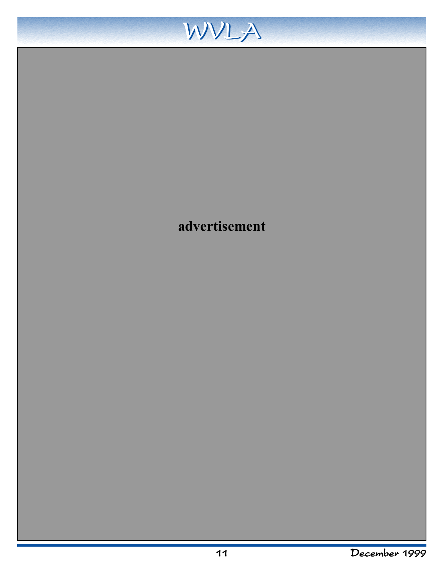

## **advertisement**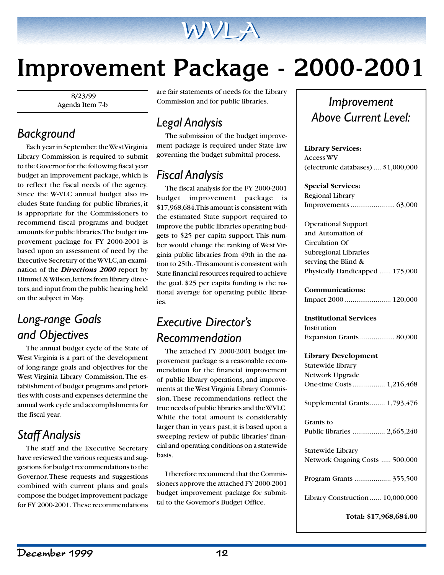

# **Improvement Package - 2000-2001**

 8/23/99 Agenda Item 7-b

## *Background*

Each year in September, the West Virginia Library Commission is required to submit to the Governor for the following fiscal year budget an improvement package, which is to reflect the fiscal needs of the agency. Since the W-VLC annual budget also includes State funding for public libraries, it is appropriate for the Commissioners to recommend fiscal programs and budget amounts for public libraries. The budget improvement package for FY 2000-2001 is based upon an assessment of need by the Executive Secretary of the WVLC, an examination of the *Directions 2000* report by Himmel & Wilson, letters from library directors, and input from the public hearing held on the subject in May.

## *Long-range Goals and Objectives*

The annual budget cycle of the State of West Virginia is a part of the development of long-range goals and objectives for the West Virginia Library Commission. The establishment of budget programs and priorities with costs and expenses determine the annual work cycle and accomplishments for the fiscal year.

## *Staff Analysis*

The staff and the Executive Secretary have reviewed the various requests and suggestions for budget recommendations to the Governor. These requests and suggestions combined with current plans and goals compose the budget improvement package for FY 2000-2001. These recommendations are fair statements of needs for the Library Commission and for public libraries.

## *Legal Analysis*

The submission of the budget improvement package is required under State law governing the budget submittal process.

## *Fiscal Analysis*

The fiscal analysis for the FY 2000-2001 budget improvement package is \$17,968,684. This amount is consistent with the estimated State support required to improve the public libraries operating budgets to \$25 per capita support. This number would change the ranking of West Virginia public libraries from 49th in the nation to 25th. - This amount is consistent with State financial resources required to achieve the goal. \$25 per capita funding is the national average for operating public libraries.

## *Executive Director's Recommendation*

The attached FY 2000-2001 budget improvement package is a reasonable recommendation for the financial improvement of public library operations, and improvements at the West Virginia Library Commission. These recommendations reflect the true needs of public libraries and the WVLC. While the total amount is considerably larger than in years past, it is based upon a sweeping review of public libraries' financial and operating conditions on a statewide basis.

I therefore recommend that the Commissioners approve the attached FY 2000-2001 budget improvement package for submittal to the Govemor's Budget Office.

## *Improvement Above Current Level:*

#### **Library Services:**

Access WV (electronic databases) .... \$1,000,000

#### **Special Services:**

Regional Library Improvements ....................... 63,000

Operational Support and Automation of Circulation Of Subregional Libraries serving the Blind & Physically Handicapped ...... 175,000

### **Communications:**

Impact 2000 ........................ 120,000

#### **Institutional Services**

Institution Expansion Grants .................. 80,000

#### **Library Development**

| Statewide library                |
|----------------------------------|
| Network Upgrade                  |
| One-time Costs 1,216,468         |
| Supplemental Grants 1,793,476    |
| Grants to                        |
| Public libraries  2,665,240      |
| Statewide Library                |
| Network Ongoing Costs  500,000   |
| Program Grants  355,500          |
| Library Construction  10,000,000 |
| Total: \$17,968,684.00           |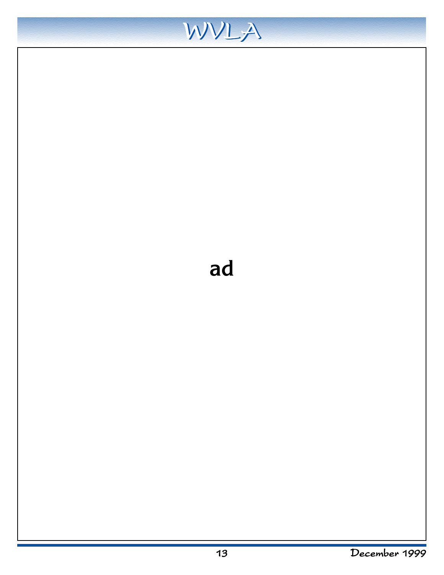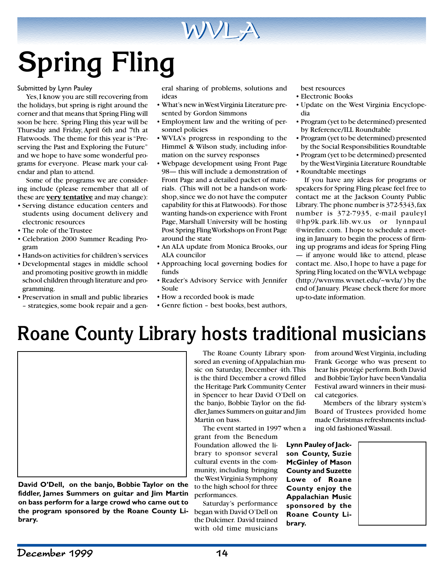# **Spring Fling**

#### Submitted by Lynn Pauley

Yes, I know you are still recovering from the holidays, but spring is right around the corner and that means that Spring Fling will soon be here. Spring Fling this year will be Thursday and Friday, April 6th and 7th at Flatwoods. The theme for this year is "Preserving the Past and Exploring the Future" and we hope to have some wonderful programs for everyone. Please mark your calendar and plan to attend.

Some of the programs we are considering include (please remember that all of these are **very tentative** and may change):

- Serving distance education centers and students using document delivery and electronic resources
- The role of the Trustee
- Celebration 2000 Summer Reading Program
- Hands-on activities for children's services
- Developmental stages in middle school and promoting positive growth in middle school children through literature and programming.
- Preservation in small and public libraries – strategies, some book repair and a gen-

eral sharing of problems, solutions and ideas

WVLA

- What's new in West Virginia Literature presented by Gordon Simmons
- Employment law and the writing of personnel policies
- WVLA's progress in responding to the Himmel & Wilson study, including information on the survey responses
- Webpage development using Front Page 98— this will include a demonstration of Front Page and a detailed packet of materials. (This will not be a hands-on workshop, since we do not have the computer capability for this at Flatwoods). For those wanting hands-on experience with Front Page, Marshall University will be hosting Post Spring Fling Workshops on Front Page around the state
- An ALA update from Monica Brooks, our ALA councilor
- Approaching local governing bodies for funds
- Reader's Advisory Service with Jennifer Soule
- How a recorded book is made
- Genre fiction best books, best authors,

best resources

- Electronic Books
- Update on the West Virginia Encyclopedia
- Program (yet to be determined) presented by Reference/ILL Roundtable
- Program (yet to be determined) presented by the Social Responsibilities Roundtable
- Program (yet to be determined) presented by the West Virginia Literature Roundtable
- Roundtable meetings

If you have any ideas for programs or speakers for Spring Fling please feel free to contact me at the Jackson County Public Library. The phone number is 372-5343, fax number is 372-7935, e-mail pauleyl @hp9k.park.lib.wv.us or lynnpaul @wirefire.com. I hope to schedule a meeting in January to begin the process of firming up programs and ideas for Spring Fling — if anyone would like to attend, please contact me. Also, I hope to have a page for Spring Fling located on the WVLA webpage (http://wvnvms.wvnet.edu/~wvla/ ) by the end of January. Please check there for more up-to-date information.

## **Roane County Library hosts traditional musicians**



**David O'Dell, on the banjo, Bobbie Taylor on the fiddler, James Summers on guitar and Jim Martin on bass perform for a large crowd who came out to the program sponsored by the Roane County Library.**

The Roane County Library sponsored an evening of Appalachian music on Saturday, December 4th. This is the third December a crowd filled the Heritage Park Community Center in Spencer to hear David O'Dell on the banjo, Bobbie Taylor on the fiddler, James Summers on guitar and Jim Martin on bass.

The event started in 1997 when a grant from the Benedum Foundation allowed the library to sponsor several cultural events in the community, including bringing the West Virginia Symphony to the high school for three performances.

Saturday's performance began with David O'Dell on the Dulcimer. David trained with old time musicians from around West Virginia, including Frank George who was present to hear his protégé perform. Both David and Bobbie Taylor have been Vandalia Festival award winners in their musical categories.

Members of the library system's Board of Trustees provided home made Christmas refreshments including old fashioned Wassail.

**Lynn Pauley of Jackson County, Suzie McGinley of Mason County and Suzette Lowe of Roane County enjoy the Appalachian Music sponsored by the Roane County Library.**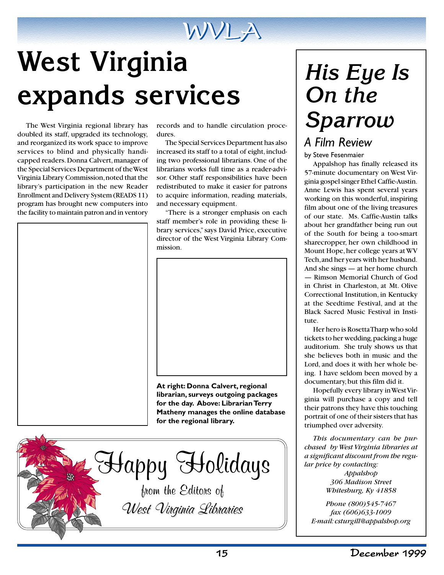

# **West Virginia expands services**

The West Virginia regional library has doubled its staff, upgraded its technology, and reorganized its work space to improve services to blind and physically handicapped readers. Donna Calvert, manager of the Special Services Department of the West Virginia Library Commission, noted that the library's participation in the new Reader Enrollment and Delivery System (READS 11) program has brought new computers into the facility to maintain patron and in ventory

records and to handle circulation procedures.

The Special Services Department has also increased its staff to a total of eight, including two professional librarians. One of the librarians works full time as a reader-advisor. Other staff responsibilities have been redistributed to make it easier for patrons to acquire information, reading materials, and necessary equipment.

"There is a stronger emphasis on each staff member's role in providing these library services," says David Price, executive director of the West Virginia Library Commission.



**At right: Donna Calvert, regional librarian, surveys outgoing packages for the day. Above: Librarian Terry Matheny manages the online database for the regional library.**

Happy Holidays from the Editors of

West Virginia Libraries West Virginia Libraries

# *His Eye Is On the Sparrow*

## *A Film Review*

by Steve Fesenmaier

Appalshop has finally released its 57-minute documentary on West Virginia gospel singer Ethel Caffie-Austin. Anne Lewis has spent several years working on this wonderful, inspiring film about one of the living treasures of our state. Ms. Caffie-Austin talks about her grandfather being run out of the South for being a too-smart sharecropper, her own childhood in Mount Hope, her college years at WV Tech, and her years with her husband. And she sings — at her home church — Rimson Memorial Church of God in Christ in Charleston, at Mt. Olive Correctional Institution, in Kentucky at the Seedtime Festival, and at the Black Sacred Music Festival in Institute.

Her hero is Rosetta Tharp who sold tickets to her wedding, packing a huge auditorium. She truly shows us that she believes both in music and the Lord, and does it with her whole being. I have seldom been moved by a documentary, but this film did it.

Hopefully every library in West Virginia will purchase a copy and tell their patrons they have this touching portrait of one of their sisters that has triumphed over adversity.

*This documentary can be purchased by West Virginia libraries at a significant discount from the regular price by contacting:*

> *Appalshop 306 Madison Street Whitesburg, Ky 41858*

*Phone (800)545-7467 fax (606)633-1009 E-mail: csturgill@appalshop.org*